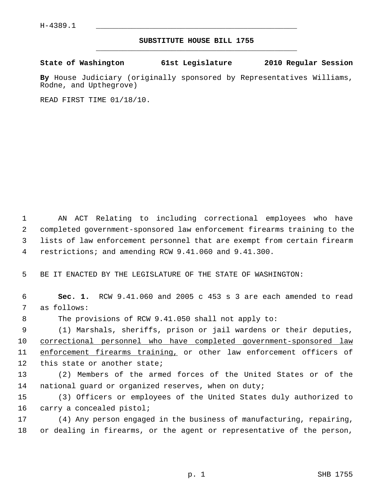## **SUBSTITUTE HOUSE BILL 1755** \_\_\_\_\_\_\_\_\_\_\_\_\_\_\_\_\_\_\_\_\_\_\_\_\_\_\_\_\_\_\_\_\_\_\_\_\_\_\_\_\_\_\_\_\_

## **State of Washington 61st Legislature 2010 Regular Session**

**By** House Judiciary (originally sponsored by Representatives Williams, Rodne, and Upthegrove)

READ FIRST TIME 01/18/10.

 1 AN ACT Relating to including correctional employees who have 2 completed government-sponsored law enforcement firearms training to the 3 lists of law enforcement personnel that are exempt from certain firearm 4 restrictions; and amending RCW 9.41.060 and 9.41.300.

5 BE IT ENACTED BY THE LEGISLATURE OF THE STATE OF WASHINGTON:

 6 **Sec. 1.** RCW 9.41.060 and 2005 c 453 s 3 are each amended to read 7 as follows:

8 The provisions of RCW 9.41.050 shall not apply to:

 9 (1) Marshals, sheriffs, prison or jail wardens or their deputies, 10 correctional personnel who have completed government-sponsored law 11 enforcement firearms training, or other law enforcement officers of 12 this state or another state;

13 (2) Members of the armed forces of the United States or of the 14 national guard or organized reserves, when on duty;

15 (3) Officers or employees of the United States duly authorized to 16 carry a concealed pistol;

17 (4) Any person engaged in the business of manufacturing, repairing, 18 or dealing in firearms, or the agent or representative of the person,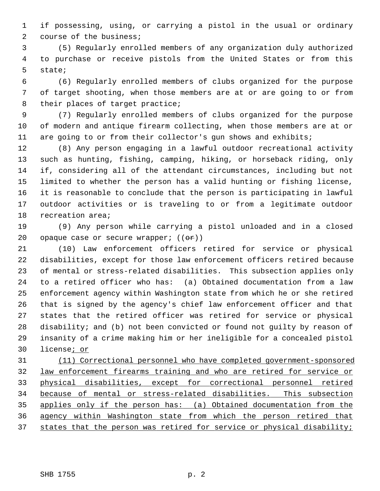1 if possessing, using, or carrying a pistol in the usual or ordinary 2 course of the business;

 3 (5) Regularly enrolled members of any organization duly authorized 4 to purchase or receive pistols from the United States or from this 5 state;

 6 (6) Regularly enrolled members of clubs organized for the purpose 7 of target shooting, when those members are at or are going to or from 8 their places of target practice;

 9 (7) Regularly enrolled members of clubs organized for the purpose 10 of modern and antique firearm collecting, when those members are at or 11 are going to or from their collector's gun shows and exhibits;

12 (8) Any person engaging in a lawful outdoor recreational activity 13 such as hunting, fishing, camping, hiking, or horseback riding, only 14 if, considering all of the attendant circumstances, including but not 15 limited to whether the person has a valid hunting or fishing license, 16 it is reasonable to conclude that the person is participating in lawful 17 outdoor activities or is traveling to or from a legitimate outdoor 18 recreation area;

19 (9) Any person while carrying a pistol unloaded and in a closed 20 opaque case or secure wrapper;  $((\theta \cdot \hat{r}))$ 

21 (10) Law enforcement officers retired for service or physical 22 disabilities, except for those law enforcement officers retired because 23 of mental or stress-related disabilities. This subsection applies only 24 to a retired officer who has: (a) Obtained documentation from a law 25 enforcement agency within Washington state from which he or she retired 26 that is signed by the agency's chief law enforcement officer and that 27 states that the retired officer was retired for service or physical 28 disability; and (b) not been convicted or found not guilty by reason of 29 insanity of a crime making him or her ineligible for a concealed pistol 30 license; or

 (11) Correctional personnel who have completed government-sponsored law enforcement firearms training and who are retired for service or physical disabilities, except for correctional personnel retired because of mental or stress-related disabilities. This subsection applies only if the person has: (a) Obtained documentation from the agency within Washington state from which the person retired that states that the person was retired for service or physical disability;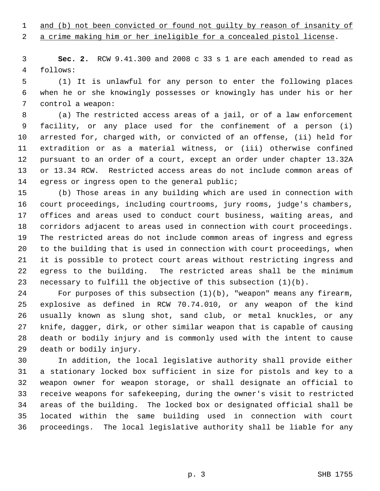## 1 and (b) not been convicted or found not guilty by reason of insanity of

2 a crime making him or her ineligible for a concealed pistol license.

 3 **Sec. 2.** RCW 9.41.300 and 2008 c 33 s 1 are each amended to read as 4 follows:

 5 (1) It is unlawful for any person to enter the following places 6 when he or she knowingly possesses or knowingly has under his or her 7 control a weapon:

 8 (a) The restricted access areas of a jail, or of a law enforcement 9 facility, or any place used for the confinement of a person (i) 10 arrested for, charged with, or convicted of an offense, (ii) held for 11 extradition or as a material witness, or (iii) otherwise confined 12 pursuant to an order of a court, except an order under chapter 13.32A 13 or 13.34 RCW. Restricted access areas do not include common areas of 14 egress or ingress open to the general public;

15 (b) Those areas in any building which are used in connection with 16 court proceedings, including courtrooms, jury rooms, judge's chambers, 17 offices and areas used to conduct court business, waiting areas, and 18 corridors adjacent to areas used in connection with court proceedings. 19 The restricted areas do not include common areas of ingress and egress 20 to the building that is used in connection with court proceedings, when 21 it is possible to protect court areas without restricting ingress and 22 egress to the building. The restricted areas shall be the minimum 23 necessary to fulfill the objective of this subsection (1)(b).

24 For purposes of this subsection (1)(b), "weapon" means any firearm, 25 explosive as defined in RCW 70.74.010, or any weapon of the kind 26 usually known as slung shot, sand club, or metal knuckles, or any 27 knife, dagger, dirk, or other similar weapon that is capable of causing 28 death or bodily injury and is commonly used with the intent to cause 29 death or bodily injury.

30 In addition, the local legislative authority shall provide either 31 a stationary locked box sufficient in size for pistols and key to a 32 weapon owner for weapon storage, or shall designate an official to 33 receive weapons for safekeeping, during the owner's visit to restricted 34 areas of the building. The locked box or designated official shall be 35 located within the same building used in connection with court 36 proceedings. The local legislative authority shall be liable for any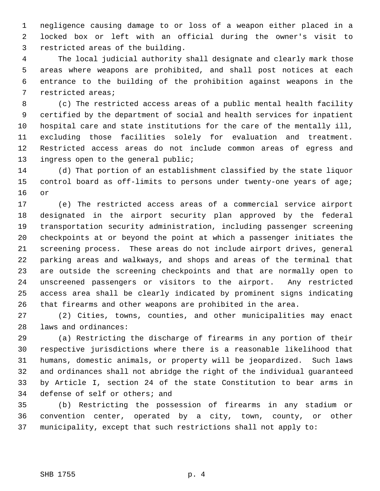1 negligence causing damage to or loss of a weapon either placed in a 2 locked box or left with an official during the owner's visit to 3 restricted areas of the building.

 4 The local judicial authority shall designate and clearly mark those 5 areas where weapons are prohibited, and shall post notices at each 6 entrance to the building of the prohibition against weapons in the 7 restricted areas;

 8 (c) The restricted access areas of a public mental health facility 9 certified by the department of social and health services for inpatient 10 hospital care and state institutions for the care of the mentally ill, 11 excluding those facilities solely for evaluation and treatment. 12 Restricted access areas do not include common areas of egress and 13 ingress open to the general public;

14 (d) That portion of an establishment classified by the state liquor 15 control board as off-limits to persons under twenty-one years of age; 16 or

17 (e) The restricted access areas of a commercial service airport 18 designated in the airport security plan approved by the federal 19 transportation security administration, including passenger screening 20 checkpoints at or beyond the point at which a passenger initiates the 21 screening process. These areas do not include airport drives, general 22 parking areas and walkways, and shops and areas of the terminal that 23 are outside the screening checkpoints and that are normally open to 24 unscreened passengers or visitors to the airport. Any restricted 25 access area shall be clearly indicated by prominent signs indicating 26 that firearms and other weapons are prohibited in the area.

27 (2) Cities, towns, counties, and other municipalities may enact 28 laws and ordinances:

29 (a) Restricting the discharge of firearms in any portion of their 30 respective jurisdictions where there is a reasonable likelihood that 31 humans, domestic animals, or property will be jeopardized. Such laws 32 and ordinances shall not abridge the right of the individual guaranteed 33 by Article I, section 24 of the state Constitution to bear arms in 34 defense of self or others; and

35 (b) Restricting the possession of firearms in any stadium or 36 convention center, operated by a city, town, county, or other 37 municipality, except that such restrictions shall not apply to: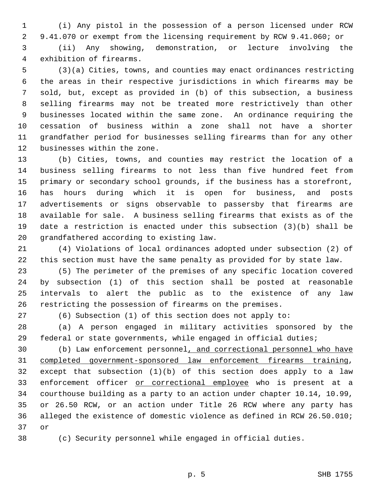1 (i) Any pistol in the possession of a person licensed under RCW 2 9.41.070 or exempt from the licensing requirement by RCW 9.41.060; or 3 (ii) Any showing, demonstration, or lecture involving the 4 exhibition of firearms.

 5 (3)(a) Cities, towns, and counties may enact ordinances restricting 6 the areas in their respective jurisdictions in which firearms may be 7 sold, but, except as provided in (b) of this subsection, a business 8 selling firearms may not be treated more restrictively than other 9 businesses located within the same zone. An ordinance requiring the 10 cessation of business within a zone shall not have a shorter 11 grandfather period for businesses selling firearms than for any other 12 businesses within the zone.

13 (b) Cities, towns, and counties may restrict the location of a 14 business selling firearms to not less than five hundred feet from 15 primary or secondary school grounds, if the business has a storefront, 16 has hours during which it is open for business, and posts 17 advertisements or signs observable to passersby that firearms are 18 available for sale. A business selling firearms that exists as of the 19 date a restriction is enacted under this subsection (3)(b) shall be 20 grandfathered according to existing law.

21 (4) Violations of local ordinances adopted under subsection (2) of 22 this section must have the same penalty as provided for by state law.

23 (5) The perimeter of the premises of any specific location covered 24 by subsection (1) of this section shall be posted at reasonable 25 intervals to alert the public as to the existence of any law 26 restricting the possession of firearms on the premises.

27 (6) Subsection (1) of this section does not apply to:

28 (a) A person engaged in military activities sponsored by the 29 federal or state governments, while engaged in official duties;

30 (b) Law enforcement personnel, and correctional personnel who have 31 completed government-sponsored law enforcement firearms training, 32 except that subsection (1)(b) of this section does apply to a law 33 enforcement officer or correctional employee who is present at a 34 courthouse building as a party to an action under chapter 10.14, 10.99, 35 or 26.50 RCW, or an action under Title 26 RCW where any party has 36 alleged the existence of domestic violence as defined in RCW 26.50.010; 37 or

38 (c) Security personnel while engaged in official duties.